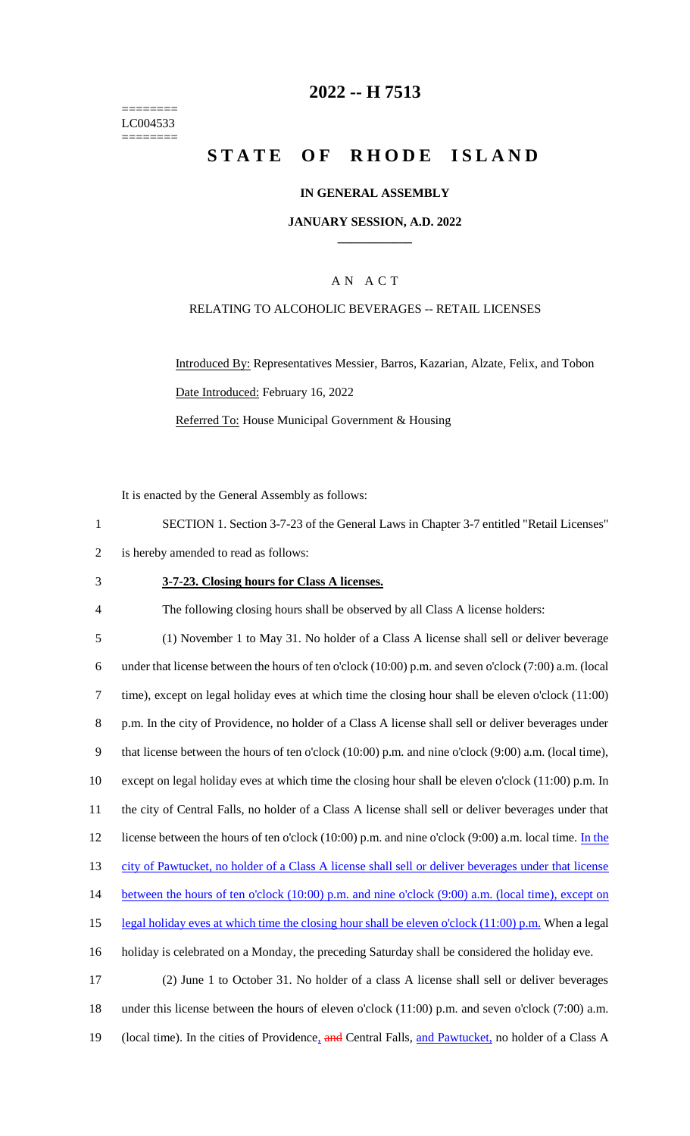======== LC004533 ========

# **2022 -- H 7513**

# **STATE OF RHODE ISLAND**

### **IN GENERAL ASSEMBLY**

### **JANUARY SESSION, A.D. 2022 \_\_\_\_\_\_\_\_\_\_\_\_**

### A N A C T

### RELATING TO ALCOHOLIC BEVERAGES -- RETAIL LICENSES

Introduced By: Representatives Messier, Barros, Kazarian, Alzate, Felix, and Tobon Date Introduced: February 16, 2022 Referred To: House Municipal Government & Housing

It is enacted by the General Assembly as follows:

1 SECTION 1. Section 3-7-23 of the General Laws in Chapter 3-7 entitled "Retail Licenses"

2 is hereby amended to read as follows:

#### 3 **3-7-23. Closing hours for Class A licenses.**

4 The following closing hours shall be observed by all Class A license holders:

 (1) November 1 to May 31. No holder of a Class A license shall sell or deliver beverage under that license between the hours of ten o'clock (10:00) p.m. and seven o'clock (7:00) a.m. (local time), except on legal holiday eves at which time the closing hour shall be eleven o'clock (11:00) p.m. In the city of Providence, no holder of a Class A license shall sell or deliver beverages under that license between the hours of ten o'clock (10:00) p.m. and nine o'clock (9:00) a.m. (local time), except on legal holiday eves at which time the closing hour shall be eleven o'clock (11:00) p.m. In the city of Central Falls, no holder of a Class A license shall sell or deliver beverages under that 12 license between the hours of ten o'clock (10:00) p.m. and nine o'clock (9:00) a.m. local time. In the city of Pawtucket, no holder of a Class A license shall sell or deliver beverages under that license 14 between the hours of ten o'clock (10:00) p.m. and nine o'clock (9:00) a.m. (local time), except on 15 legal holiday eves at which time the closing hour shall be eleven o'clock (11:00) p.m. When a legal holiday is celebrated on a Monday, the preceding Saturday shall be considered the holiday eve. (2) June 1 to October 31. No holder of a class A license shall sell or deliver beverages under this license between the hours of eleven o'clock (11:00) p.m. and seven o'clock (7:00) a.m.

19 (local time). In the cities of Providence, and Central Falls, and Pawtucket, no holder of a Class A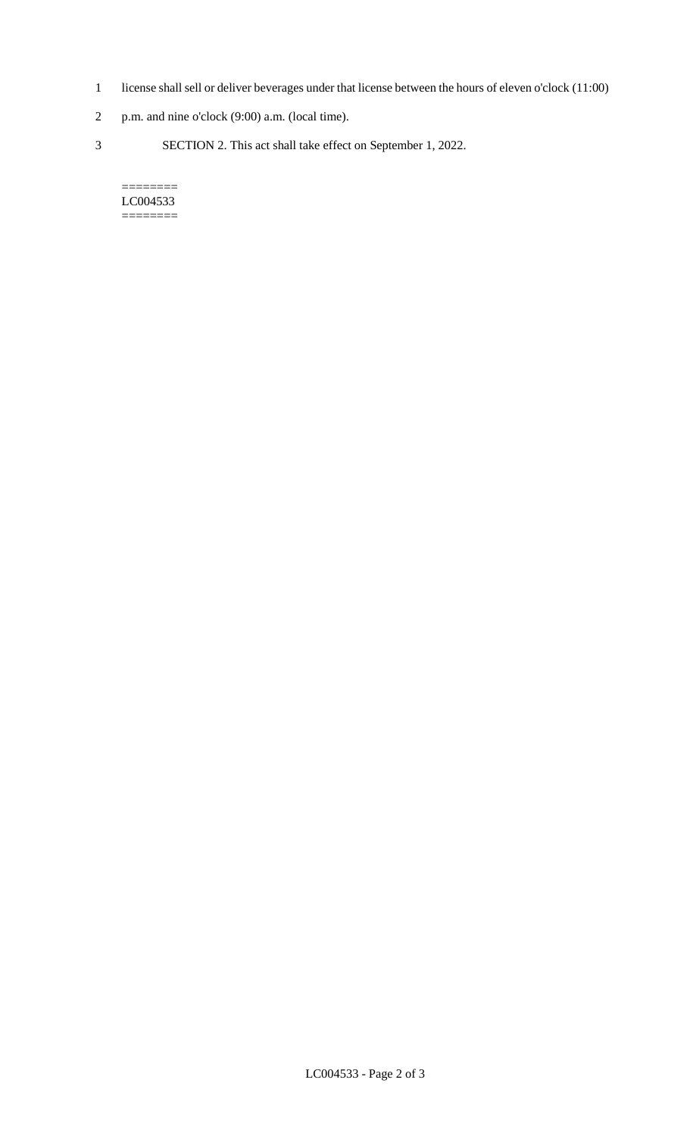- 1 license shall sell or deliver beverages under that license between the hours of eleven o'clock (11:00)
- 2 p.m. and nine o'clock (9:00) a.m. (local time).
- 3 SECTION 2. This act shall take effect on September 1, 2022.

#### $=$ LC004533 ========